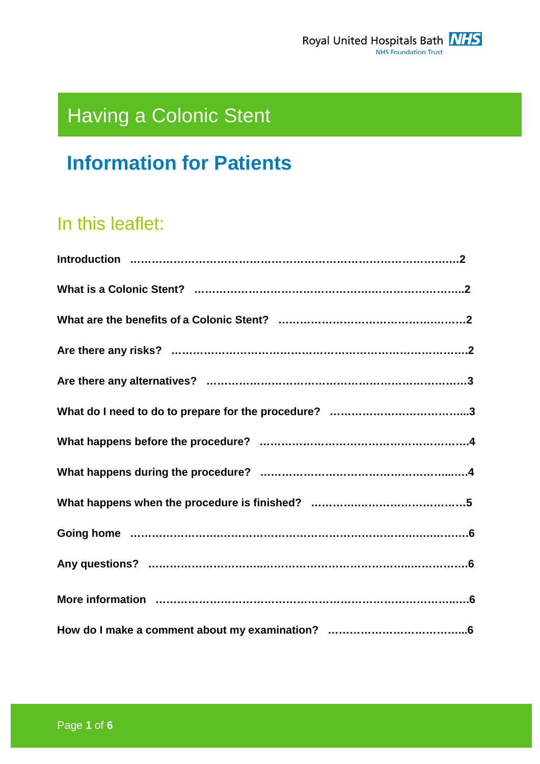

# Having a Colonic Stent

## **Information for Patients**

### In this leaflet: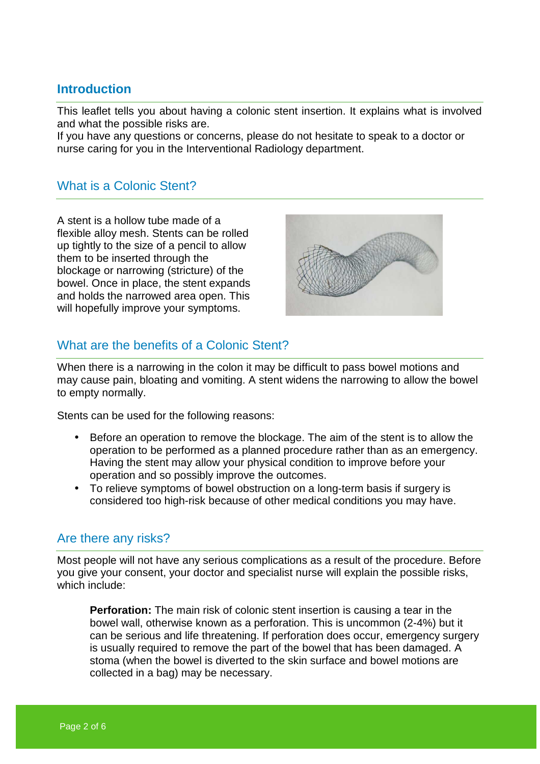#### **Introduction**

This leaflet tells you about having a colonic stent insertion. It explains what is involved and what the possible risks are.

If you have any questions or concerns, please do not hesitate to speak to a doctor or nurse caring for you in the Interventional Radiology department.

#### What is a Colonic Stent?

A stent is a hollow tube made of a flexible alloy mesh. Stents can be rolled up tightly to the size of a pencil to allow them to be inserted through the blockage or narrowing (stricture) of the bowel. Once in place, the stent expands and holds the narrowed area open. This will hopefully improve your symptoms.



#### What are the benefits of a Colonic Stent?

When there is a narrowing in the colon it may be difficult to pass bowel motions and may cause pain, bloating and vomiting. A stent widens the narrowing to allow the bowel to empty normally.

Stents can be used for the following reasons:

- Before an operation to remove the blockage. The aim of the stent is to allow the operation to be performed as a planned procedure rather than as an emergency. Having the stent may allow your physical condition to improve before your operation and so possibly improve the outcomes.
- To relieve symptoms of bowel obstruction on a long-term basis if surgery is considered too high-risk because of other medical conditions you may have.

#### Are there any risks?

Most people will not have any serious complications as a result of the procedure. Before you give your consent, your doctor and specialist nurse will explain the possible risks, which include:

**Perforation:** The main risk of colonic stent insertion is causing a tear in the bowel wall, otherwise known as a perforation. This is uncommon (2-4%) but it can be serious and life threatening. If perforation does occur, emergency surgery is usually required to remove the part of the bowel that has been damaged. A stoma (when the bowel is diverted to the skin surface and bowel motions are collected in a bag) may be necessary.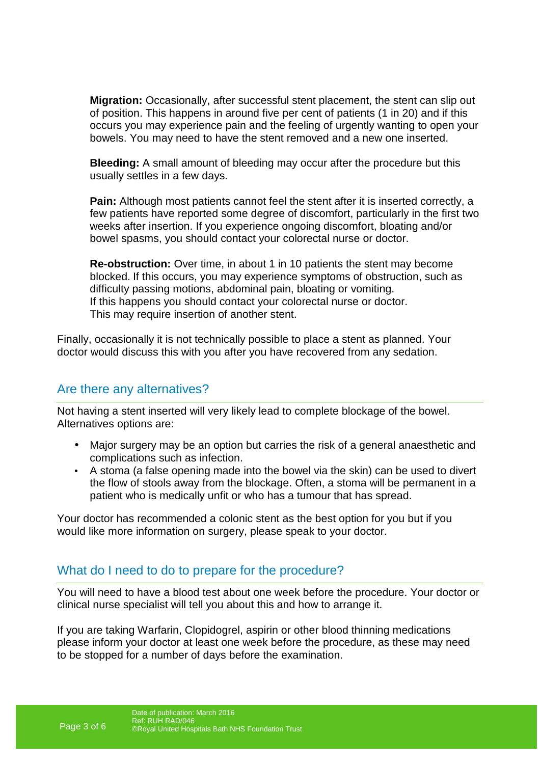**Migration:** Occasionally, after successful stent placement, the stent can slip out of position. This happens in around five per cent of patients (1 in 20) and if this occurs you may experience pain and the feeling of urgently wanting to open your bowels. You may need to have the stent removed and a new one inserted.

**Bleeding:** A small amount of bleeding may occur after the procedure but this usually settles in a few days.

**Pain:** Although most patients cannot feel the stent after it is inserted correctly, a few patients have reported some degree of discomfort, particularly in the first two weeks after insertion. If you experience ongoing discomfort, bloating and/or bowel spasms, you should contact your colorectal nurse or doctor.

**Re-obstruction:** Over time, in about 1 in 10 patients the stent may become blocked. If this occurs, you may experience symptoms of obstruction, such as difficulty passing motions, abdominal pain, bloating or vomiting. If this happens you should contact your colorectal nurse or doctor. This may require insertion of another stent.

Finally, occasionally it is not technically possible to place a stent as planned. Your doctor would discuss this with you after you have recovered from any sedation.

#### Are there any alternatives?

Not having a stent inserted will very likely lead to complete blockage of the bowel. Alternatives options are:

- Major surgery may be an option but carries the risk of a general anaesthetic and complications such as infection.
- A stoma (a false opening made into the bowel via the skin) can be used to divert the flow of stools away from the blockage. Often, a stoma will be permanent in a patient who is medically unfit or who has a tumour that has spread.

Your doctor has recommended a colonic stent as the best option for you but if you would like more information on surgery, please speak to your doctor.

#### What do I need to do to prepare for the procedure?

You will need to have a blood test about one week before the procedure. Your doctor or clinical nurse specialist will tell you about this and how to arrange it.

If you are taking Warfarin, Clopidogrel, aspirin or other blood thinning medications please inform your doctor at least one week before the procedure, as these may need to be stopped for a number of days before the examination.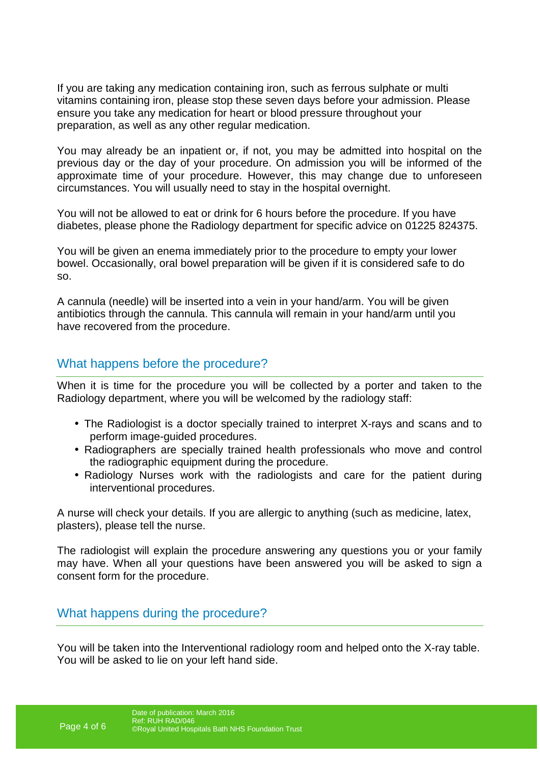If you are taking any medication containing iron, such as ferrous sulphate or multi vitamins containing iron, please stop these seven days before your admission. Please ensure you take any medication for heart or blood pressure throughout your preparation, as well as any other regular medication.

You may already be an inpatient or, if not, you may be admitted into hospital on the previous day or the day of your procedure. On admission you will be informed of the approximate time of your procedure. However, this may change due to unforeseen circumstances. You will usually need to stay in the hospital overnight.

You will not be allowed to eat or drink for 6 hours before the procedure. If you have diabetes, please phone the Radiology department for specific advice on 01225 824375.

You will be given an enema immediately prior to the procedure to empty your lower bowel. Occasionally, oral bowel preparation will be given if it is considered safe to do so.

A cannula (needle) will be inserted into a vein in your hand/arm. You will be given antibiotics through the cannula. This cannula will remain in your hand/arm until you have recovered from the procedure.

#### What happens before the procedure?

When it is time for the procedure you will be collected by a porter and taken to the Radiology department, where you will be welcomed by the radiology staff:

- The Radiologist is a doctor specially trained to interpret X-rays and scans and to perform image-guided procedures.
- Radiographers are specially trained health professionals who move and control the radiographic equipment during the procedure.
- Radiology Nurses work with the radiologists and care for the patient during interventional procedures.

A nurse will check your details. If you are allergic to anything (such as medicine, latex, plasters), please tell the nurse.

The radiologist will explain the procedure answering any questions you or your family may have. When all your questions have been answered you will be asked to sign a consent form for the procedure.

#### What happens during the procedure?

You will be taken into the Interventional radiology room and helped onto the X-ray table. You will be asked to lie on your left hand side.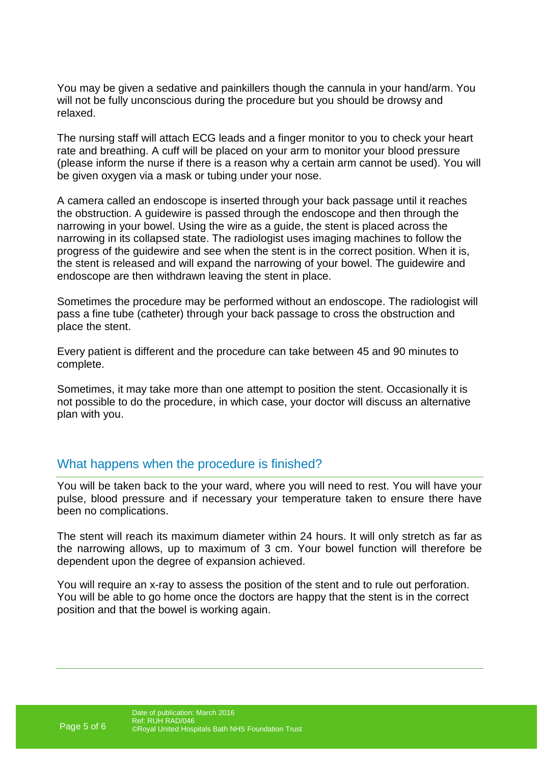You may be given a sedative and painkillers though the cannula in your hand/arm. You will not be fully unconscious during the procedure but you should be drowsy and relaxed.

The nursing staff will attach ECG leads and a finger monitor to you to check your heart rate and breathing. A cuff will be placed on your arm to monitor your blood pressure (please inform the nurse if there is a reason why a certain arm cannot be used). You will be given oxygen via a mask or tubing under your nose.

A camera called an endoscope is inserted through your back passage until it reaches the obstruction. A guidewire is passed through the endoscope and then through the narrowing in your bowel. Using the wire as a guide, the stent is placed across the narrowing in its collapsed state. The radiologist uses imaging machines to follow the progress of the guidewire and see when the stent is in the correct position. When it is, the stent is released and will expand the narrowing of your bowel. The guidewire and endoscope are then withdrawn leaving the stent in place.

Sometimes the procedure may be performed without an endoscope. The radiologist will pass a fine tube (catheter) through your back passage to cross the obstruction and place the stent.

Every patient is different and the procedure can take between 45 and 90 minutes to complete.

Sometimes, it may take more than one attempt to position the stent. Occasionally it is not possible to do the procedure, in which case, your doctor will discuss an alternative plan with you.

#### What happens when the procedure is finished?

You will be taken back to the your ward, where you will need to rest. You will have your pulse, blood pressure and if necessary your temperature taken to ensure there have been no complications.

The stent will reach its maximum diameter within 24 hours. It will only stretch as far as the narrowing allows, up to maximum of 3 cm. Your bowel function will therefore be dependent upon the degree of expansion achieved.

You will require an x-ray to assess the position of the stent and to rule out perforation. You will be able to go home once the doctors are happy that the stent is in the correct position and that the bowel is working again.